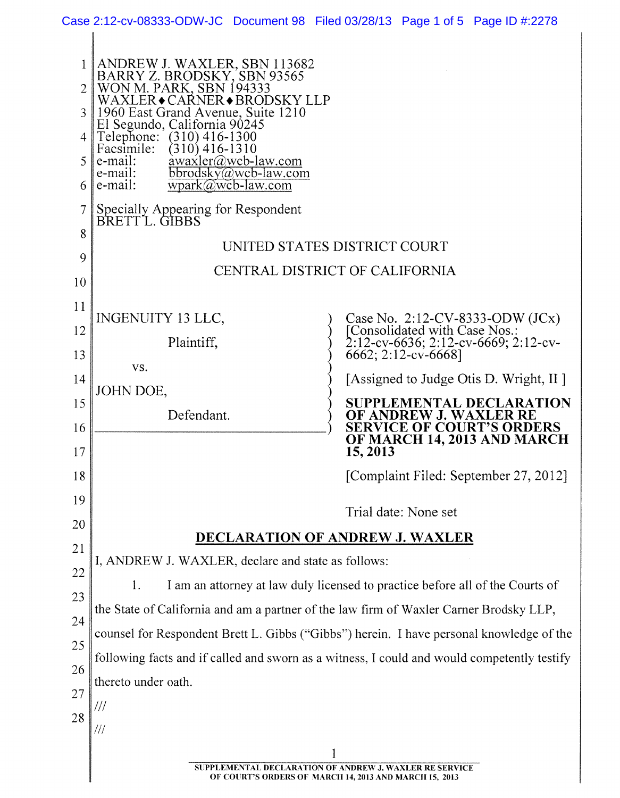|          |                                                                                                                                                                                     | Case 2:12-cv-08333-ODW-JC Document 98 Filed 03/28/13 Page 1 of 5 Page ID #:2278                                   |  |
|----------|-------------------------------------------------------------------------------------------------------------------------------------------------------------------------------------|-------------------------------------------------------------------------------------------------------------------|--|
|          |                                                                                                                                                                                     |                                                                                                                   |  |
|          | ANDREW J. WAXLER, SBN 113682<br>BARRY Z. BRODSKY, SBN 93565<br>WON M. PARK, SBN 194333                                                                                              |                                                                                                                   |  |
|          | WAXLER◆CARNER◆BRODSKY LLP                                                                                                                                                           |                                                                                                                   |  |
| 4        | 1960 East Grand Avenue, Suite 1210<br>El Segundo, California 90245                                                                                                                  |                                                                                                                   |  |
| 5        | Telephone: (310) 416-1300<br>Facsimile: (310) 416-1310<br>awaxler@wcb-law.com<br>e-mail:                                                                                            |                                                                                                                   |  |
| 6        | bbrodsky@wcb-law.com<br>e-mail:<br>e-mail:<br>$wpark@wcb-law.com$                                                                                                                   |                                                                                                                   |  |
| 7        | Specially Appearing for Respondent<br>BRETTL. GIBBS                                                                                                                                 |                                                                                                                   |  |
| 8        |                                                                                                                                                                                     | UNITED STATES DISTRICT COURT                                                                                      |  |
| 9<br>10  |                                                                                                                                                                                     | CENTRAL DISTRICT OF CALIFORNIA                                                                                    |  |
| 11       |                                                                                                                                                                                     |                                                                                                                   |  |
| 12       | <b>INGENUITY 13 LLC,</b>                                                                                                                                                            | Case No. 2:12-CV-8333-ODW $(JCx)$<br>[Consolidated with Case Nos.:<br>2:12-cv-6636; 2:12-cv-6669; 2:12-cv-        |  |
| 13       | Plaintiff,                                                                                                                                                                          | 6662; 2:12-cv-6668]                                                                                               |  |
| 14       | VS.<br>JOHN DOE,                                                                                                                                                                    | [Assigned to Judge Otis D. Wright, II ]                                                                           |  |
| 15       | Defendant.                                                                                                                                                                          | <b>SUPPLEMENTAL DECLARATION</b><br>OF ANDREW J. WAXLER RE                                                         |  |
| 16<br>17 |                                                                                                                                                                                     | <b>SERVICE OF COURT'S ORDERS</b><br>OF MARCH 14, 2013 AND MARCH<br>15, 2013                                       |  |
| 18       |                                                                                                                                                                                     | [Complaint Filed: September 27, 2012]                                                                             |  |
| 19       |                                                                                                                                                                                     |                                                                                                                   |  |
| 20       |                                                                                                                                                                                     | Trial date: None set                                                                                              |  |
| 21       | <b>DECLARATION OF ANDREW J. WAXLER</b><br>I, ANDREW J. WAXLER, declare and state as follows:<br>1.<br>I am an attorney at law duly licensed to practice before all of the Courts of |                                                                                                                   |  |
| 22       |                                                                                                                                                                                     |                                                                                                                   |  |
| 23       |                                                                                                                                                                                     |                                                                                                                   |  |
| 24       | the State of California and am a partner of the law firm of Waxler Carner Brodsky LLP,                                                                                              |                                                                                                                   |  |
| 25       | counsel for Respondent Brett L. Gibbs ("Gibbs") herein. I have personal knowledge of the                                                                                            |                                                                                                                   |  |
| 26       | following facts and if called and sworn as a witness, I could and would competently testify<br>thereto under oath.                                                                  |                                                                                                                   |  |
| 27       | ///                                                                                                                                                                                 |                                                                                                                   |  |
| 28       | ///                                                                                                                                                                                 |                                                                                                                   |  |
|          |                                                                                                                                                                                     |                                                                                                                   |  |
|          |                                                                                                                                                                                     | SUPPLEMENTAL DECLARATION OF ANDREW J. WAXLER RE SERVICE<br>OF COURT'S ORDERS OF MARCH 14, 2013 AND MARCH 15, 2013 |  |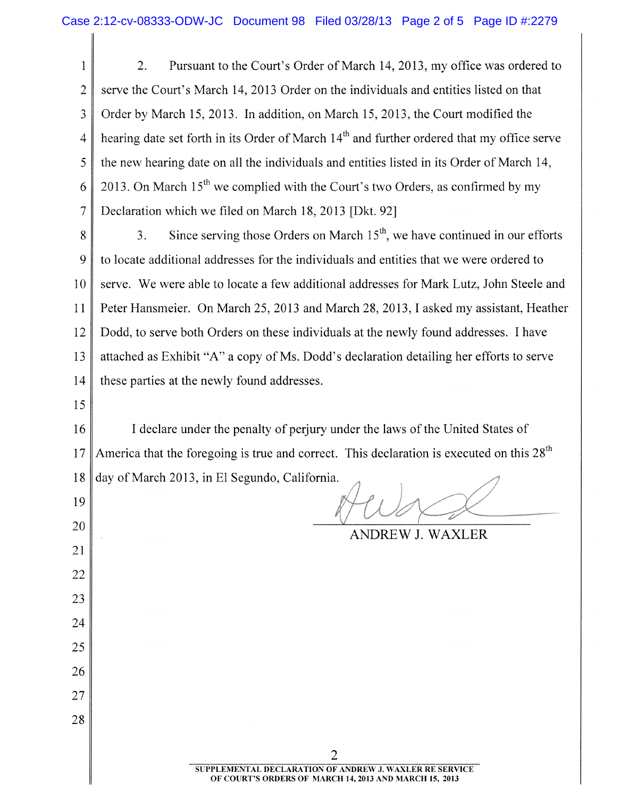1 2 3 4 5 6 7 2. Pursuant to the Court's Order of March 14, 2013, my office was ordered to serve the Court's March 14, 2013 Order on the individuals and entities listed on that Order by March 15, 2013. In addition, on March 15, 2013, the Court modified the hearing date set forth in its Order of March  $14<sup>th</sup>$  and further ordered that my office serve the new hearing date on all the individuals and entities listed in its Order of March 14, 2013. On March  $15<sup>th</sup>$  we complied with the Court's two Orders, as confirmed by my Declaration which we filed on March 18, 2013 [Dkt. 92]

8 9 10 11 12 13 14 3. Since serving those Orders on March  $15<sup>th</sup>$ , we have continued in our efforts to locate additional addresses for the individuals and entities that we were ordered to serve. We were able to locate a few additional addresses for Mark Lutz, John Steele and Peter Hansmeier. On March 25, 2013 and March 28, 2013, I asked my assistant, Heather Dodd, to serve both Orders on these individuals at the newly found addresses. I have attached as Exhibit "A" a copy of Ms. Dodd's declaration detailing her efforts to serve these parties at the newly found addresses.

15

19

20

21

22

23

24

25

26

27

28

16 17 18 I declare under the penalty of perjury under the laws of the United States of America that the foregoing is true and correct. This declaration is executed on this  $28<sup>th</sup>$ day of March 2013, in El Segundo, California.

ANDREW J. WAXLER

2 **SUPPLEMENTAL DECLARATION OF ANDREW J. WAXLER RE SERVICE OF COURT'S ORDERS OF MARCH 14,2013 AND MARCH 15, 2013**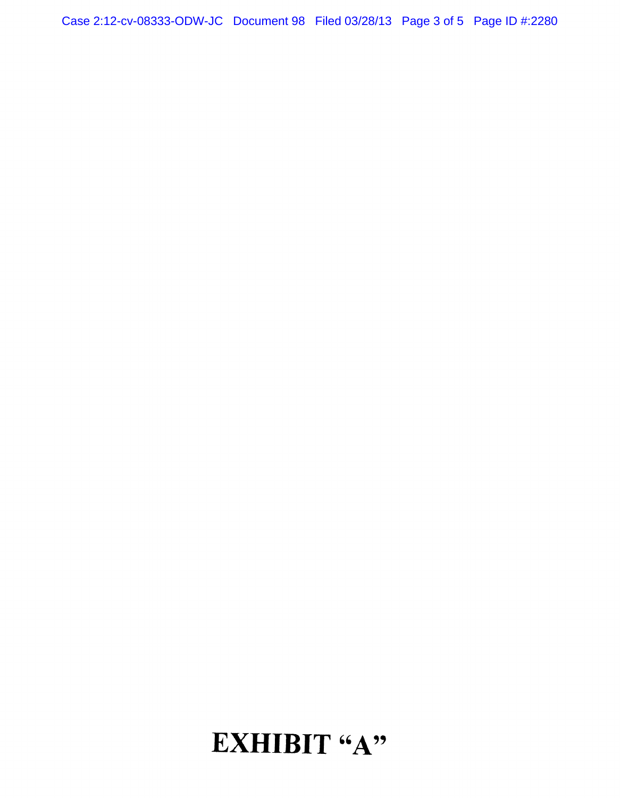Case 2:12-cv-08333-ODW-JC Document 98 Filed 03/28/13 Page 3 of 5 Page ID #:2280

## EXHIBIT "A"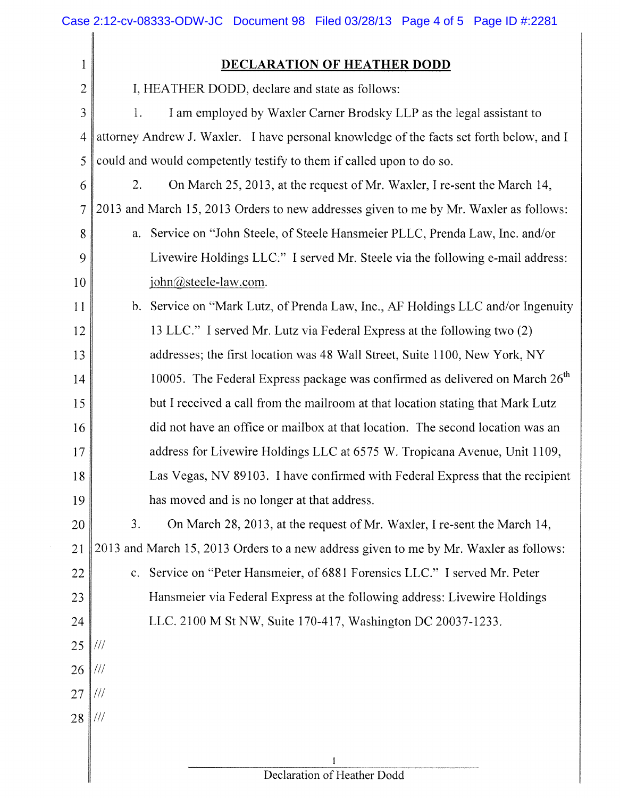|                | Case 2:12-cv-08333-ODW-JC Document 98 Filed 03/28/13 Page 4 of 5 Page ID #:2281          |
|----------------|------------------------------------------------------------------------------------------|
| 1              | <b>DECLARATION OF HEATHER DODD</b>                                                       |
| $\overline{2}$ | I, HEATHER DODD, declare and state as follows:                                           |
| 3              | I am employed by Waxler Carner Brodsky LLP as the legal assistant to<br>1.               |
| 4              | attorney Andrew J. Waxler. I have personal knowledge of the facts set forth below, and I |
| 5              | could and would competently testify to them if called upon to do so.                     |
| 6              | On March 25, 2013, at the request of Mr. Waxler, I re-sent the March 14,<br>2.           |
| $\overline{7}$ | 2013 and March 15, 2013 Orders to new addresses given to me by Mr. Waxler as follows:    |
| 8              | a. Service on "John Steele, of Steele Hansmeier PLLC, Prenda Law, Inc. and/or            |
| 9              | Livewire Holdings LLC." I served Mr. Steele via the following e-mail address:            |
| 10             | john@steele-law.com.                                                                     |
| 11             | b. Service on "Mark Lutz, of Prenda Law, Inc., AF Holdings LLC and/or Ingenuity          |
| 12             | 13 LLC." I served Mr. Lutz via Federal Express at the following two (2)                  |
| 13             | addresses; the first location was 48 Wall Street, Suite 1100, New York, NY               |
| 14             | 10005. The Federal Express package was confirmed as delivered on March 26 <sup>th</sup>  |
| 15             | but I received a call from the mailroom at that location stating that Mark Lutz          |
| 16             | did not have an office or mailbox at that location. The second location was an           |
| 17             | address for Livewire Holdings LLC at 6575 W. Tropicana Avenue, Unit 1109,                |
| 18             | Las Vegas, NV 89103. I have confirmed with Federal Express that the recipient            |
| 19             | has moved and is no longer at that address.                                              |
| 20             | 3.<br>On March 28, 2013, at the request of Mr. Waxler, I re-sent the March 14,           |
| 21             | 2013 and March 15, 2013 Orders to a new address given to me by Mr. Waxler as follows:    |
| 22             | Service on "Peter Hansmeier, of 6881 Forensics LLC." I served Mr. Peter<br>$c_{\cdot}$   |
| 23             | Hansmeier via Federal Express at the following address: Livewire Holdings                |
| 24             | LLC. 2100 M St NW, Suite 170-417, Washington DC 20037-1233.                              |
| 25             | ///                                                                                      |
| 26             | ///                                                                                      |
| 27             | ///                                                                                      |
| 28             | ///                                                                                      |
|                |                                                                                          |